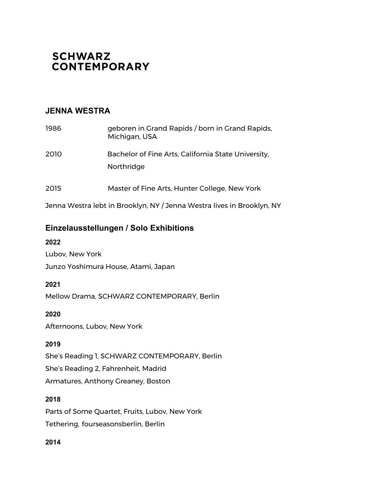# **SCHWARZ CONTEMPORARY**

### **JENNA WESTRA**

| 1986 | geboren in Grand Rapids / born in Grand Rapids,<br>Michigan, USA  |
|------|-------------------------------------------------------------------|
| 2010 | Bachelor of Fine Arts, California State University,<br>Northridge |
| 2015 | Master of Fine Arts, Hunter College, New York                     |

Jenna Westra lebt in Brooklyn, NY / Jenna Westra lives in Brooklyn, NY

## **Einzelausstellungen / Solo Exhibitions**

### **2022**

Lubov, New York Junzo Yoshimura House, Atami, Japan

### **2021**

Mellow Drama, SCHWARZ CONTEMPORARY, Berlin

**2020**

Afternoons, Lubov, New York

### **2019**

She's Reading 1, SCHWARZ CONTEMPORARY, Berlin She's Reading 2, Fahrenheit, Madrid Armatures, Anthony Greaney, Boston

### **2018**

Parts of Some Quartet, Fruits, Lubov, New York Tethering*,* fourseasonsberlin, Berlin

### **2014**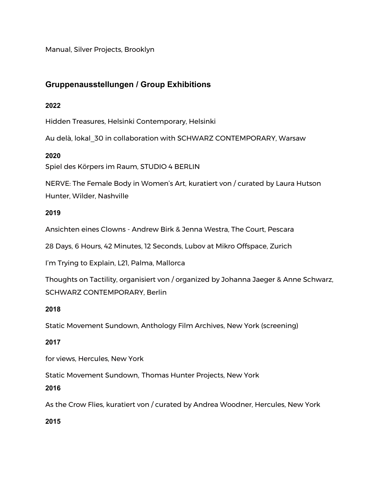Manual, Silver Projects, Brooklyn

# **Gruppenausstellungen / Group Exhibitions**

### **2022**

Hidden Treasures, Helsinki Contemporary, Helsinki

Au delà, lokal\_30 in collaboration with SCHWARZ CONTEMPORARY, Warsaw

### **2020**

Spiel des Körpers im Raum, STUDIO 4 BERLIN

NERVE: The Female Body in Women's Art, kuratiert von / curated by Laura Hutson Hunter, Wilder, Nashville

### **2019**

Ansichten eines Clowns - Andrew Birk & Jenna Westra, The Court, Pescara

28 Days, 6 Hours, 42 Minutes, 12 Seconds, Lubov at Mikro Offspace, Zurich

I'm Trying to Explain, L21, Palma, Mallorca

Thoughts on Tactility, organisiert von / organized by Johanna Jaeger & Anne Schwarz, SCHWARZ CONTEMPORARY, Berlin

### **2018**

Static Movement Sundown, Anthology Film Archives, New York (screening)

### **2017**

for views, Hercules, New York

Static Movement Sundown*,* Thomas Hunter Projects, New York

### **2016**

As the Crow Flies, kuratiert von / curated by Andrea Woodner, Hercules, New York

**2015**